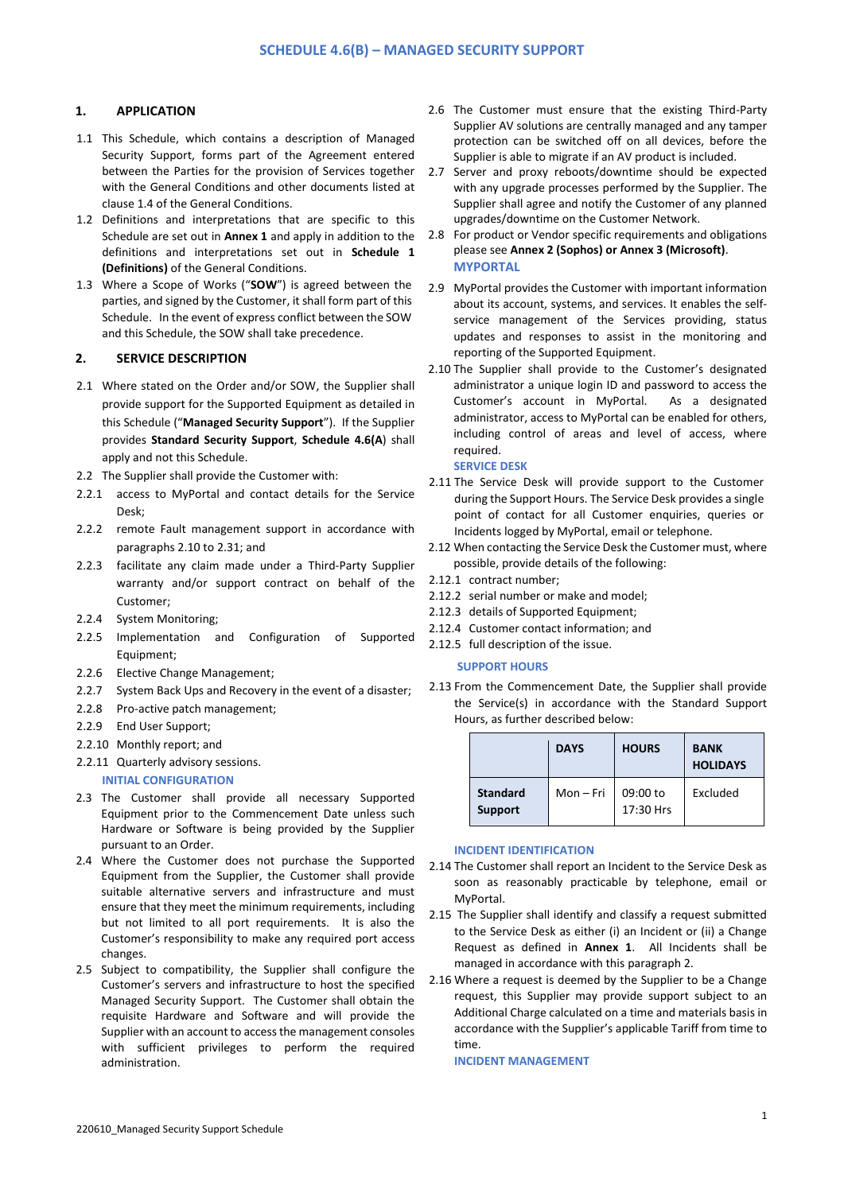# **1. APPLICATION**

- 1.1 This Schedule, which contains a description of Managed Security Support, forms part of the Agreement entered between the Parties for the provision of Services together with the General Conditions and other documents listed at clause 1.4 of the General Conditions.
- 1.2 Definitions and interpretations that are specific to this Schedule are set out in **Annex 1** and apply in addition to the definitions and interpretations set out in **Schedule 1 (Definitions)** of the General Conditions.
- 1.3 Where a Scope of Works ("**SOW**") is agreed between the parties, and signed by the Customer, it shall form part of this Schedule. In the event of express conflict between the SOW and this Schedule, the SOW shall take precedence.

# **2. SERVICE DESCRIPTION**

- 2.1 Where stated on the Order and/or SOW, the Supplier shall provide support for the Supported Equipment as detailed in this Schedule ("**Managed Security Support**"). If the Supplier provides **Standard Security Support**, **Schedule 4.6(A**) shall apply and not this Schedule.
- 2.2 The Supplier shall provide the Customer with:
- 2.2.1 access to MyPortal and contact details for the Service Desk;
- 2.2.2 remote Fault management support in accordance with paragraphs 2.10 to 2.31; and
- 2.2.3 facilitate any claim made under a Third-Party Supplier warranty and/or support contract on behalf of the Customer;
- 2.2.4 System Monitoring;
- 2.2.5 Implementation and Configuration of Supported Equipment;
- 2.2.6 Elective Change Management;
- 2.2.7 System Back Ups and Recovery in the event of a disaster;
- 2.2.8 Pro-active patch management;
- 2.2.9 End User Support;
- 2.2.10 Monthly report; and
- 2.2.11 Quarterly advisory sessions. **INITIAL CONFIGURATION**
- 2.3 The Customer shall provide all necessary Supported Equipment prior to the Commencement Date unless such Hardware or Software is being provided by the Supplier pursuant to an Order.
- 2.4 Where the Customer does not purchase the Supported Equipment from the Supplier, the Customer shall provide suitable alternative servers and infrastructure and must ensure that they meet the minimum requirements, including but not limited to all port requirements. It is also the Customer's responsibility to make any required port access changes.
- 2.5 Subject to compatibility, the Supplier shall configure the Customer's servers and infrastructure to host the specified Managed Security Support. The Customer shall obtain the requisite Hardware and Software and will provide the Supplier with an account to access the management consoles with sufficient privileges to perform the required administration.
- 2.6 The Customer must ensure that the existing Third-Party Supplier AV solutions are centrally managed and any tamper protection can be switched off on all devices, before the Supplier is able to migrate if an AV product is included.
- 2.7 Server and proxy reboots/downtime should be expected with any upgrade processes performed by the Supplier. The Supplier shall agree and notify the Customer of any planned upgrades/downtime on the Customer Network.
- 2.8 For product or Vendor specific requirements and obligations please see **Annex 2 (Sophos) or Annex 3 (Microsoft)**. **MYPORTAL**
- 2.9 MyPortal provides the Customer with important information about its account, systems, and services. It enables the selfservice management of the Services providing, status updates and responses to assist in the monitoring and reporting of the Supported Equipment.
- 2.10 The Supplier shall provide to the Customer's designated administrator a unique login ID and password to access the Customer's account in MyPortal. As a designated administrator, access to MyPortal can be enabled for others, including control of areas and level of access, where required.

# **SERVICE DESK**

- 2.11 The Service Desk will provide support to the Customer during the Support Hours. The Service Desk provides a single point of contact for all Customer enquiries, queries or Incidents logged by MyPortal, email or telephone.
- 2.12 When contacting the Service Desk the Customer must, where possible, provide details of the following:
- 2.12.1 contract number;
- 2.12.2 serial number or make and model;
- 2.12.3 details of Supported Equipment;
- 2.12.4 Customer contact information; and
- 2.12.5 full description of the issue.

#### **SUPPORT HOURS**

2.13 From the Commencement Date, the Supplier shall provide the Service(s) in accordance with the Standard Support Hours, as further described below:

|                                   | <b>DAYS</b> | <b>HOURS</b>          | <b>BANK</b><br><b>HOLIDAYS</b> |
|-----------------------------------|-------------|-----------------------|--------------------------------|
| <b>Standard</b><br><b>Support</b> | Mon – Fri   | 09:00 to<br>17:30 Hrs | Excluded                       |

#### **INCIDENT IDENTIFICATION**

- 2.14 The Customer shall report an Incident to the Service Desk as soon as reasonably practicable by telephone, email or MyPortal.
- 2.15 The Supplier shall identify and classify a request submitted to the Service Desk as either (i) an Incident or (ii) a Change Request as defined in **Annex 1**. All Incidents shall be managed in accordance with this paragraph 2.
- 2.16 Where a request is deemed by the Supplier to be a Change request, this Supplier may provide support subject to an Additional Charge calculated on a time and materials basis in accordance with the Supplier's applicable Tariff from time to time.

#### **INCIDENT MANAGEMENT**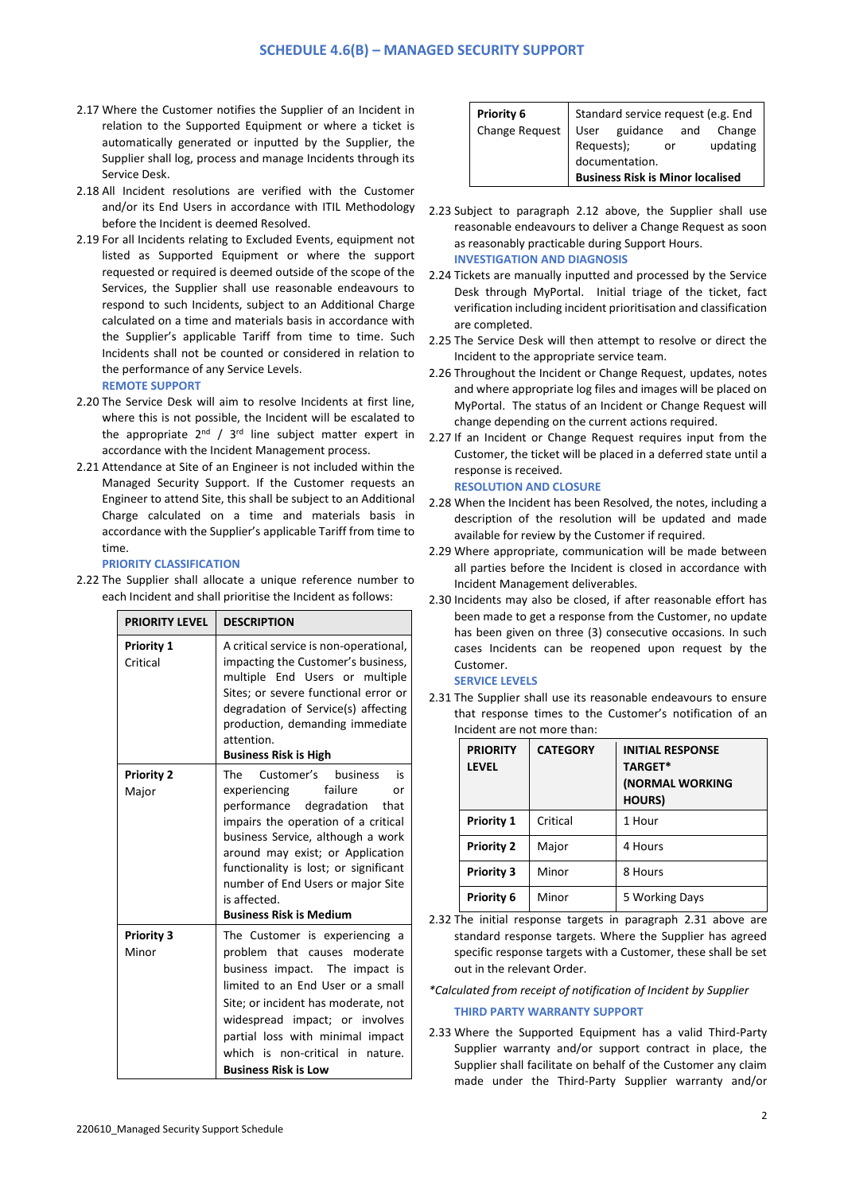- 2.17 Where the Customer notifies the Supplier of an Incident in relation to the Supported Equipment or where a ticket is automatically generated or inputted by the Supplier, the Supplier shall log, process and manage Incidents through its Service Desk.
- 2.18 All Incident resolutions are verified with the Customer and/or its End Users in accordance with ITIL Methodology before the Incident is deemed Resolved.
- 2.19 For all Incidents relating to Excluded Events, equipment not listed as Supported Equipment or where the support requested or required is deemed outside of the scope of the Services, the Supplier shall use reasonable endeavours to respond to such Incidents, subject to an Additional Charge calculated on a time and materials basis in accordance with the Supplier's applicable Tariff from time to time. Such Incidents shall not be counted or considered in relation to the performance of any Service Levels. **REMOTE SUPPORT**
- 2.20 The Service Desk will aim to resolve Incidents at first line, where this is not possible, the Incident will be escalated to the appropriate  $2^{nd}$  /  $3^{rd}$  line subject matter expert in accordance with the Incident Management process.
- 2.21 Attendance at Site of an Engineer is not included within the Managed Security Support. If the Customer requests an Engineer to attend Site, this shall be subject to an Additional Charge calculated on a time and materials basis in accordance with the Supplier's applicable Tariff from time to time.

#### **PRIORITY CLASSIFICATION**

2.22 The Supplier shall allocate a unique reference number to each Incident and shall prioritise the Incident as follows:

| <b>PRIORITY LEVEL</b>         | <b>DESCRIPTION</b>                                                                                                                                                                                                                                                                                                                                |  |
|-------------------------------|---------------------------------------------------------------------------------------------------------------------------------------------------------------------------------------------------------------------------------------------------------------------------------------------------------------------------------------------------|--|
| <b>Priority 1</b><br>Critical | A critical service is non-operational,<br>impacting the Customer's business,<br>multiple End Users or multiple<br>Sites; or severe functional error or<br>degradation of Service(s) affecting<br>production, demanding immediate<br>attention.<br><b>Business Risk is High</b>                                                                    |  |
| <b>Priority 2</b><br>Major    | The Customer's business<br>is<br>experiencing<br>failure<br>or<br>performance degradation<br>that<br>impairs the operation of a critical<br>business Service, although a work<br>around may exist; or Application<br>functionality is lost; or significant<br>number of End Users or major Site<br>is affected.<br><b>Business Risk is Medium</b> |  |
| <b>Priority 3</b><br>Minor    | The Customer is experiencing a<br>problem that causes moderate<br>business impact. The impact is<br>limited to an End User or a small<br>Site; or incident has moderate, not<br>widespread impact; or involves<br>partial loss with minimal impact<br>which is non-critical in<br>nature.<br><b>Business Risk is Low</b>                          |  |

| Priority 6     | Standard service request (e.g. End      |              |    |          |
|----------------|-----------------------------------------|--------------|----|----------|
| Change Request | User                                    | guidance and |    | Change   |
|                | Requests);                              |              | or | updating |
|                | documentation.                          |              |    |          |
|                | <b>Business Risk is Minor localised</b> |              |    |          |

- 2.23 Subject to paragraph 2.12 above, the Supplier shall use reasonable endeavours to deliver a Change Request as soon as reasonably practicable during Support Hours. **INVESTIGATION AND DIAGNOSIS**
- 2.24 Tickets are manually inputted and processed by the Service Desk through MyPortal. Initial triage of the ticket, fact verification including incident prioritisation and classification are completed.
- 2.25 The Service Desk will then attempt to resolve or direct the Incident to the appropriate service team.
- 2.26 Throughout the Incident or Change Request, updates, notes and where appropriate log files and images will be placed on MyPortal. The status of an Incident or Change Request will change depending on the current actions required.
- 2.27 If an Incident or Change Request requires input from the Customer, the ticket will be placed in a deferred state until a response is received.

**RESOLUTION AND CLOSURE**

- 2.28 When the Incident has been Resolved, the notes, including a description of the resolution will be updated and made available for review by the Customer if required.
- 2.29 Where appropriate, communication will be made between all parties before the Incident is closed in accordance with Incident Management deliverables.
- 2.30 Incidents may also be closed, if after reasonable effort has been made to get a response from the Customer, no update has been given on three (3) consecutive occasions. In such cases Incidents can be reopened upon request by the Customer.

**SERVICE LEVELS**

2.31 The Supplier shall use its reasonable endeavours to ensure that response times to the Customer's notification of an Incident are not more than:

| <b>PRIORITY</b><br><b>LEVEL</b> | <b>CATEGORY</b> | <b>INITIAL RESPONSE</b><br><b>TARGET*</b><br>(NORMAL WORKING<br><b>HOURS</b> ) |
|---------------------------------|-----------------|--------------------------------------------------------------------------------|
| <b>Priority 1</b>               | Critical        | 1 Hour                                                                         |
| <b>Priority 2</b>               | Major           | 4 Hours                                                                        |
| <b>Priority 3</b>               | Minor           | 8 Hours                                                                        |
| Priority 6                      | Minor           | 5 Working Days                                                                 |

2.32 The initial response targets in paragraph 2.31 above are standard response targets. Where the Supplier has agreed specific response targets with a Customer, these shall be set out in the relevant Order.

# *\*Calculated from receipt of notification of Incident by Supplier*

## **THIRD PARTY WARRANTY SUPPORT**

2.33 Where the Supported Equipment has a valid Third-Party Supplier warranty and/or support contract in place, the Supplier shall facilitate on behalf of the Customer any claim made under the Third-Party Supplier warranty and/or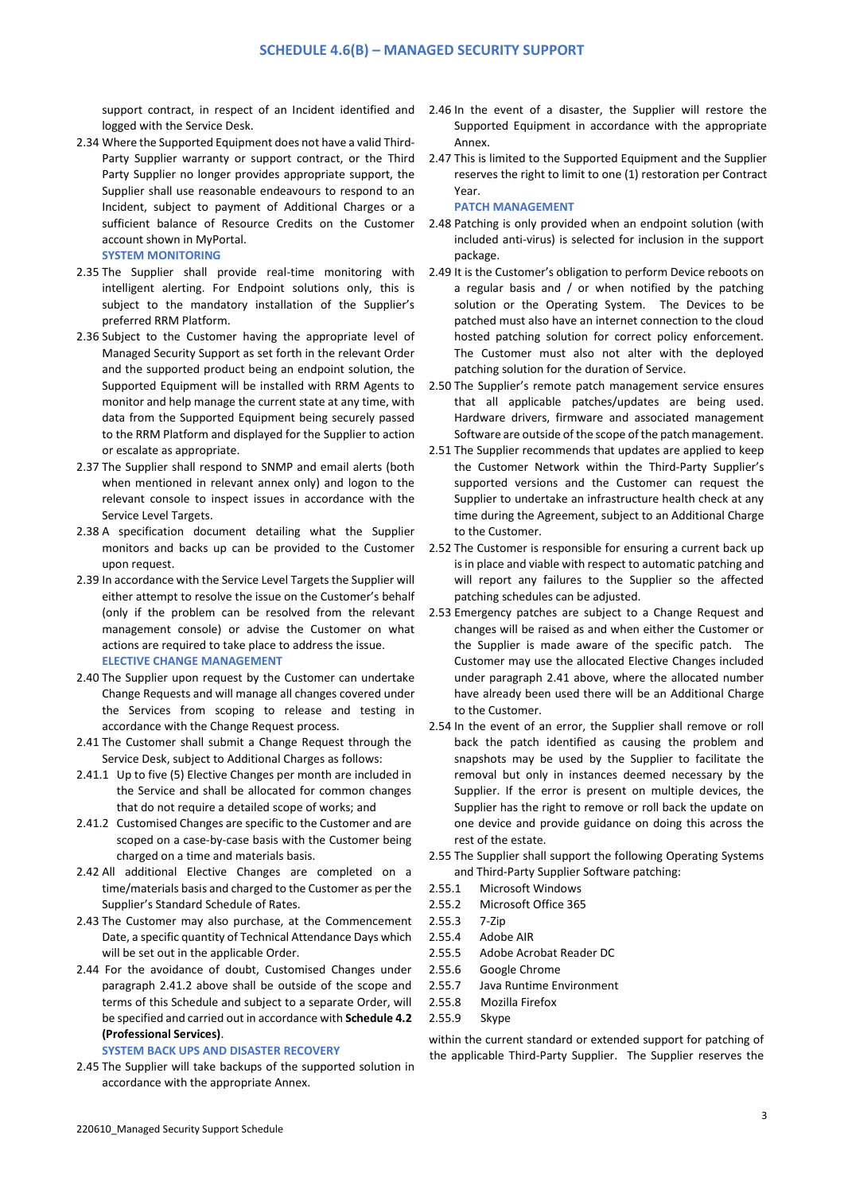support contract, in respect of an Incident identified and logged with the Service Desk.

- 2.34 Where the Supported Equipment does not have a valid Third-Party Supplier warranty or support contract, or the Third Party Supplier no longer provides appropriate support, the Supplier shall use reasonable endeavours to respond to an Incident, subject to payment of Additional Charges or a sufficient balance of Resource Credits on the Customer account shown in MyPortal. **SYSTEM MONITORING**
- 2.35 The Supplier shall provide real-time monitoring with intelligent alerting. For Endpoint solutions only, this is subject to the mandatory installation of the Supplier's preferred RRM Platform.
- 2.36 Subject to the Customer having the appropriate level of Managed Security Support as set forth in the relevant Order and the supported product being an endpoint solution, the Supported Equipment will be installed with RRM Agents to monitor and help manage the current state at any time, with data from the Supported Equipment being securely passed to the RRM Platform and displayed for the Supplier to action or escalate as appropriate.
- 2.37 The Supplier shall respond to SNMP and email alerts (both when mentioned in relevant annex only) and logon to the relevant console to inspect issues in accordance with the Service Level Targets.
- 2.38 A specification document detailing what the Supplier monitors and backs up can be provided to the Customer upon request.
- 2.39 In accordance with the Service Level Targets the Supplier will either attempt to resolve the issue on the Customer's behalf (only if the problem can be resolved from the relevant management console) or advise the Customer on what actions are required to take place to address the issue. **ELECTIVE CHANGE MANAGEMENT**
- 2.40 The Supplier upon request by the Customer can undertake Change Requests and will manage all changes covered under the Services from scoping to release and testing in accordance with the Change Request process.
- 2.41 The Customer shall submit a Change Request through the Service Desk, subject to Additional Charges as follows:
- 2.41.1 Up to five (5) Elective Changes per month are included in the Service and shall be allocated for common changes that do not require a detailed scope of works; and
- 2.41.2 Customised Changes are specific to the Customer and are scoped on a case-by-case basis with the Customer being charged on a time and materials basis.
- 2.42 All additional Elective Changes are completed on a time/materials basis and charged to the Customer as per the Supplier's Standard Schedule of Rates.
- 2.43 The Customer may also purchase, at the Commencement Date, a specific quantity of Technical Attendance Days which will be set out in the applicable Order.
- 2.44 For the avoidance of doubt, Customised Changes under paragraph 2.41.2 above shall be outside of the scope and terms of this Schedule and subject to a separate Order, will be specified and carried out in accordance with **Schedule 4.2 (Professional Services)**.

**SYSTEM BACK UPS AND DISASTER RECOVERY**

2.45 The Supplier will take backups of the supported solution in accordance with the appropriate Annex.

- 2.46 In the event of a disaster, the Supplier will restore the Supported Equipment in accordance with the appropriate Annex.
- 2.47 This is limited to the Supported Equipment and the Supplier reserves the right to limit to one (1) restoration per Contract Year.

#### **PATCH MANAGEMENT**

- 2.48 Patching is only provided when an endpoint solution (with included anti-virus) is selected for inclusion in the support package.
- 2.49 It is the Customer's obligation to perform Device reboots on a regular basis and / or when notified by the patching solution or the Operating System. The Devices to be patched must also have an internet connection to the cloud hosted patching solution for correct policy enforcement. The Customer must also not alter with the deployed patching solution for the duration of Service.
- 2.50 The Supplier's remote patch management service ensures that all applicable patches/updates are being used. Hardware drivers, firmware and associated management Software are outside of the scope of the patch management.
- 2.51 The Supplier recommends that updates are applied to keep the Customer Network within the Third-Party Supplier's supported versions and the Customer can request the Supplier to undertake an infrastructure health check at any time during the Agreement, subject to an Additional Charge to the Customer.
- 2.52 The Customer is responsible for ensuring a current back up is in place and viable with respect to automatic patching and will report any failures to the Supplier so the affected patching schedules can be adjusted.
- 2.53 Emergency patches are subject to a Change Request and changes will be raised as and when either the Customer or the Supplier is made aware of the specific patch. The Customer may use the allocated Elective Changes included under paragraph 2.41 above, where the allocated number have already been used there will be an Additional Charge to the Customer.
- 2.54 In the event of an error, the Supplier shall remove or roll back the patch identified as causing the problem and snapshots may be used by the Supplier to facilitate the removal but only in instances deemed necessary by the Supplier. If the error is present on multiple devices, the Supplier has the right to remove or roll back the update on one device and provide guidance on doing this across the rest of the estate.
- 2.55 The Supplier shall support the following Operating Systems and Third-Party Supplier Software patching:
- 2.55.1 Microsoft Windows
- 2.55.2 Microsoft Office 365
- 2.55.3 7-Zip
- 2.55.4 Adobe AIR
- 2.55.5 Adobe Acrobat Reader DC
- 2.55.6 Google Chrome
- 2.55.7 Java Runtime Environment
	- 2.55.8 Mozilla Firefox
	- 2.55.9 Skype

within the current standard or extended support for patching of the applicable Third-Party Supplier. The Supplier reserves the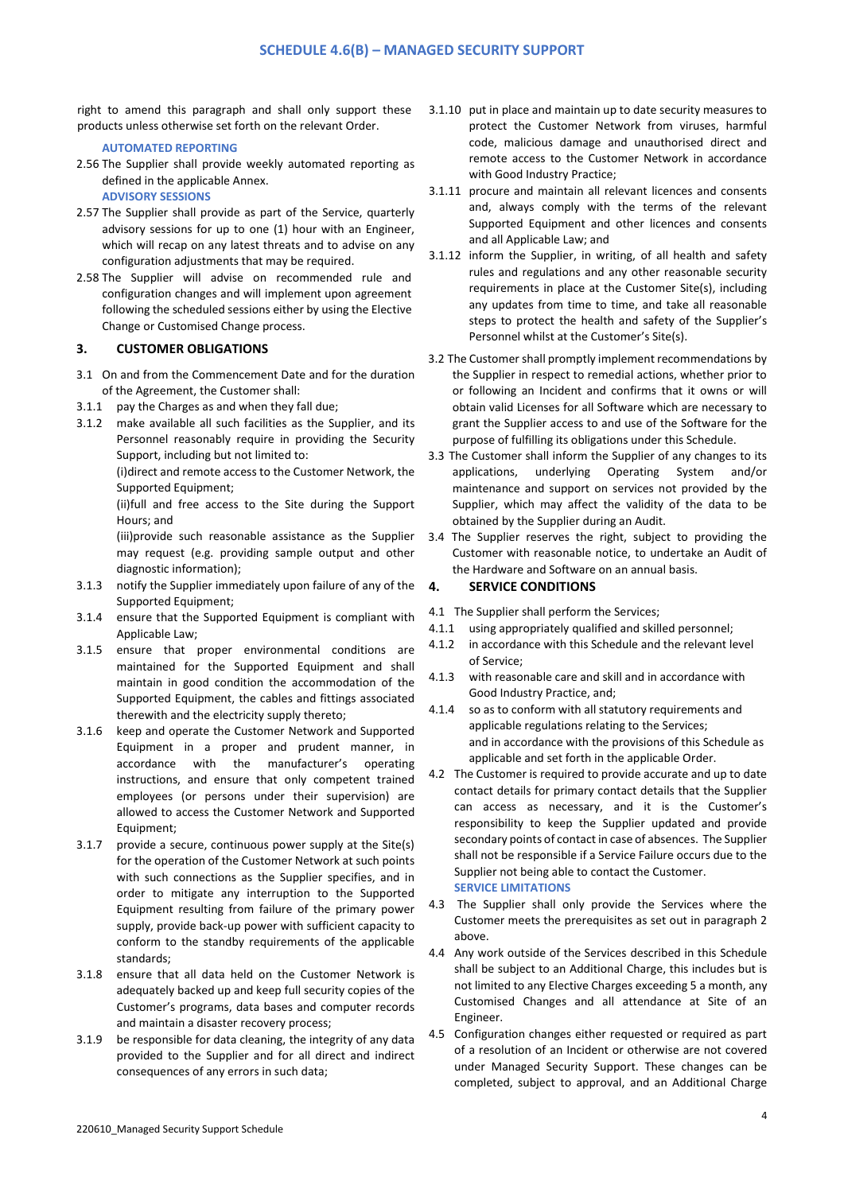right to amend this paragraph and shall only support these products unless otherwise set forth on the relevant Order.

# **AUTOMATED REPORTING**

- 2.56 The Supplier shall provide weekly automated reporting as defined in the applicable Annex. **ADVISORY SESSIONS**
- 2.57 The Supplier shall provide as part of the Service, quarterly advisory sessions for up to one (1) hour with an Engineer, which will recap on any latest threats and to advise on any configuration adjustments that may be required.
- 2.58 The Supplier will advise on recommended rule and configuration changes and will implement upon agreement following the scheduled sessions either by using the Elective Change or Customised Change process.

# **3. CUSTOMER OBLIGATIONS**

- 3.1 On and from the Commencement Date and for the duration of the Agreement, the Customer shall:
- 3.1.1 pay the Charges as and when they fall due;
- 3.1.2 make available all such facilities as the Supplier, and its Personnel reasonably require in providing the Security Support, including but not limited to:

(i)direct and remote access to the Customer Network, the Supported Equipment;

(ii)full and free access to the Site during the Support Hours; and

(iii)provide such reasonable assistance as the Supplier may request (e.g. providing sample output and other diagnostic information);

- 3.1.3 notify the Supplier immediately upon failure of any of the Supported Equipment;
- 3.1.4 ensure that the Supported Equipment is compliant with Applicable Law;
- 3.1.5 ensure that proper environmental conditions are maintained for the Supported Equipment and shall maintain in good condition the accommodation of the Supported Equipment, the cables and fittings associated therewith and the electricity supply thereto;
- 3.1.6 keep and operate the Customer Network and Supported Equipment in a proper and prudent manner, in accordance with the manufacturer's operating instructions, and ensure that only competent trained employees (or persons under their supervision) are allowed to access the Customer Network and Supported Equipment;
- 3.1.7 provide a secure, continuous power supply at the Site(s) for the operation of the Customer Network at such points with such connections as the Supplier specifies, and in order to mitigate any interruption to the Supported Equipment resulting from failure of the primary power supply, provide back-up power with sufficient capacity to conform to the standby requirements of the applicable standards;
- 3.1.8 ensure that all data held on the Customer Network is adequately backed up and keep full security copies of the Customer's programs, data bases and computer records and maintain a disaster recovery process;
- 3.1.9 be responsible for data cleaning, the integrity of any data provided to the Supplier and for all direct and indirect consequences of any errors in such data;
- 3.1.10 put in place and maintain up to date security measures to protect the Customer Network from viruses, harmful code, malicious damage and unauthorised direct and remote access to the Customer Network in accordance with Good Industry Practice;
- 3.1.11 procure and maintain all relevant licences and consents and, always comply with the terms of the relevant Supported Equipment and other licences and consents and all Applicable Law; and
- 3.1.12 inform the Supplier, in writing, of all health and safety rules and regulations and any other reasonable security requirements in place at the Customer Site(s), including any updates from time to time, and take all reasonable steps to protect the health and safety of the Supplier's Personnel whilst at the Customer's Site(s).
- 3.2 The Customer shall promptly implement recommendations by the Supplier in respect to remedial actions, whether prior to or following an Incident and confirms that it owns or will obtain valid Licenses for all Software which are necessary to grant the Supplier access to and use of the Software for the purpose of fulfilling its obligations under this Schedule.
- 3.3 The Customer shall inform the Supplier of any changes to its applications, underlying Operating System and/or maintenance and support on services not provided by the Supplier, which may affect the validity of the data to be obtained by the Supplier during an Audit.
- 3.4 The Supplier reserves the right, subject to providing the Customer with reasonable notice, to undertake an Audit of the Hardware and Software on an annual basis.

# **4. SERVICE CONDITIONS**

- 4.1 The Supplier shall perform the Services;
- 4.1.1 using appropriately qualified and skilled personnel;
- 4.1.2 in accordance with this Schedule and the relevant level of Service;
- 4.1.3 with reasonable care and skill and in accordance with Good Industry Practice, and;
- 4.1.4 so as to conform with all statutory requirements and applicable regulations relating to the Services; and in accordance with the provisions of this Schedule as applicable and set forth in the applicable Order.
- 4.2 The Customer is required to provide accurate and up to date contact details for primary contact details that the Supplier can access as necessary, and it is the Customer's responsibility to keep the Supplier updated and provide secondary points of contact in case of absences. The Supplier shall not be responsible if a Service Failure occurs due to the Supplier not being able to contact the Customer. **SERVICE LIMITATIONS**
- 4.3 The Supplier shall only provide the Services where the Customer meets the prerequisites as set out in paragraph 2 above.
- 4.4 Any work outside of the Services described in this Schedule shall be subject to an Additional Charge, this includes but is not limited to any Elective Charges exceeding 5 a month, any Customised Changes and all attendance at Site of an Engineer.
- 4.5 Configuration changes either requested or required as part of a resolution of an Incident or otherwise are not covered under Managed Security Support. These changes can be completed, subject to approval, and an Additional Charge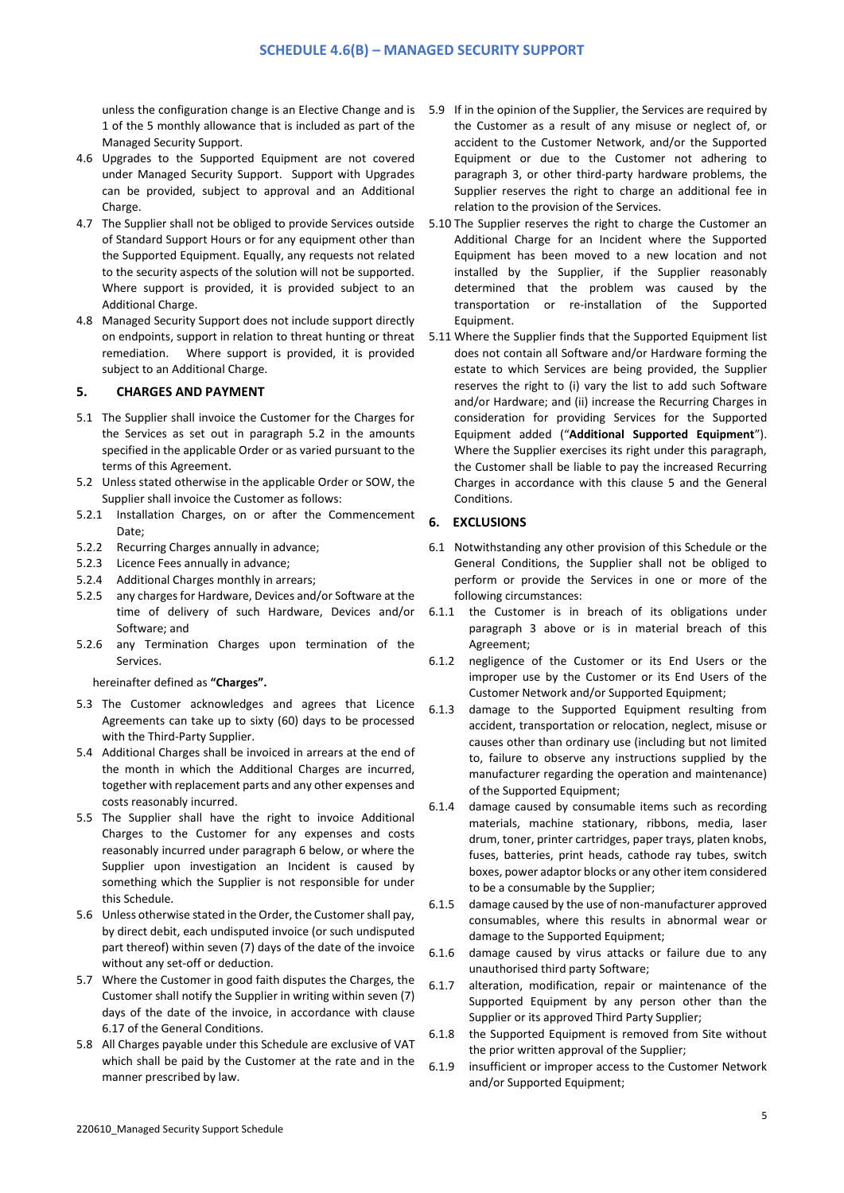unless the configuration change is an Elective Change and is 1 of the 5 monthly allowance that is included as part of the Managed Security Support.

- 4.6 Upgrades to the Supported Equipment are not covered under Managed Security Support. Support with Upgrades can be provided, subject to approval and an Additional Charge.
- 4.7 The Supplier shall not be obliged to provide Services outside of Standard Support Hours or for any equipment other than the Supported Equipment. Equally, any requests not related to the security aspects of the solution will not be supported. Where support is provided, it is provided subject to an Additional Charge.
- 4.8 Managed Security Support does not include support directly on endpoints, support in relation to threat hunting or threat remediation. Where support is provided, it is provided subject to an Additional Charge.

#### **5. CHARGES AND PAYMENT**

- 5.1 The Supplier shall invoice the Customer for the Charges for the Services as set out in paragraph 5.2 in the amounts specified in the applicable Order or as varied pursuant to the terms of this Agreement.
- 5.2 Unless stated otherwise in the applicable Order or SOW, the Supplier shall invoice the Customer as follows:
- 5.2.1 Installation Charges, on or after the Commencement Date;
- 5.2.2 Recurring Charges annually in advance;
- 5.2.3 Licence Fees annually in advance;
- 5.2.4 Additional Charges monthly in arrears;
- 5.2.5 any charges for Hardware, Devices and/or Software at the time of delivery of such Hardware, Devices and/or Software; and
- 5.2.6 any Termination Charges upon termination of the Services.

hereinafter defined as **"Charges".**

- 5.3 The Customer acknowledges and agrees that Licence Agreements can take up to sixty (60) days to be processed with the Third-Party Supplier.
- 5.4 Additional Charges shall be invoiced in arrears at the end of the month in which the Additional Charges are incurred, together with replacement parts and any other expenses and costs reasonably incurred.
- 5.5 The Supplier shall have the right to invoice Additional Charges to the Customer for any expenses and costs reasonably incurred under paragraph 6 below, or where the Supplier upon investigation an Incident is caused by something which the Supplier is not responsible for under this Schedule.
- 5.6 Unless otherwise stated in the Order, the Customer shall pay, by direct debit, each undisputed invoice (or such undisputed part thereof) within seven (7) days of the date of the invoice without any set-off or deduction.
- 5.7 Where the Customer in good faith disputes the Charges, the Customer shall notify the Supplier in writing within seven (7) days of the date of the invoice, in accordance with clause 6.17 of the General Conditions.
- 5.8 All Charges payable under this Schedule are exclusive of VAT which shall be paid by the Customer at the rate and in the manner prescribed by law.
- 5.9 If in the opinion of the Supplier, the Services are required by the Customer as a result of any misuse or neglect of, or accident to the Customer Network, and/or the Supported Equipment or due to the Customer not adhering to paragraph 3, or other third-party hardware problems, the Supplier reserves the right to charge an additional fee in relation to the provision of the Services.
- 5.10 The Supplier reserves the right to charge the Customer an Additional Charge for an Incident where the Supported Equipment has been moved to a new location and not installed by the Supplier, if the Supplier reasonably determined that the problem was caused by the transportation or re-installation of the Supported Equipment.
- 5.11 Where the Supplier finds that the Supported Equipment list does not contain all Software and/or Hardware forming the estate to which Services are being provided, the Supplier reserves the right to (i) vary the list to add such Software and/or Hardware; and (ii) increase the Recurring Charges in consideration for providing Services for the Supported Equipment added ("**Additional Supported Equipment**"). Where the Supplier exercises its right under this paragraph, the Customer shall be liable to pay the increased Recurring Charges in accordance with this clause 5 and the General Conditions.

# **6. EXCLUSIONS**

- 6.1 Notwithstanding any other provision of this Schedule or the General Conditions, the Supplier shall not be obliged to perform or provide the Services in one or more of the following circumstances:
- 6.1.1 the Customer is in breach of its obligations under paragraph 3 above or is in material breach of this Agreement;
- 6.1.2 negligence of the Customer or its End Users or the improper use by the Customer or its End Users of the Customer Network and/or Supported Equipment;
- 6.1.3 damage to the Supported Equipment resulting from accident, transportation or relocation, neglect, misuse or causes other than ordinary use (including but not limited to, failure to observe any instructions supplied by the manufacturer regarding the operation and maintenance) of the Supported Equipment;
- 6.1.4 damage caused by consumable items such as recording materials, machine stationary, ribbons, media, laser drum, toner, printer cartridges, paper trays, platen knobs, fuses, batteries, print heads, cathode ray tubes, switch boxes, power adaptor blocks or any other item considered to be a consumable by the Supplier;
- 6.1.5 damage caused by the use of non-manufacturer approved consumables, where this results in abnormal wear or damage to the Supported Equipment;
- 6.1.6 damage caused by virus attacks or failure due to any unauthorised third party Software;
- 6.1.7 alteration, modification, repair or maintenance of the Supported Equipment by any person other than the Supplier or its approved Third Party Supplier;
- 6.1.8 the Supported Equipment is removed from Site without the prior written approval of the Supplier;
- 6.1.9 insufficient or improper access to the Customer Network and/or Supported Equipment;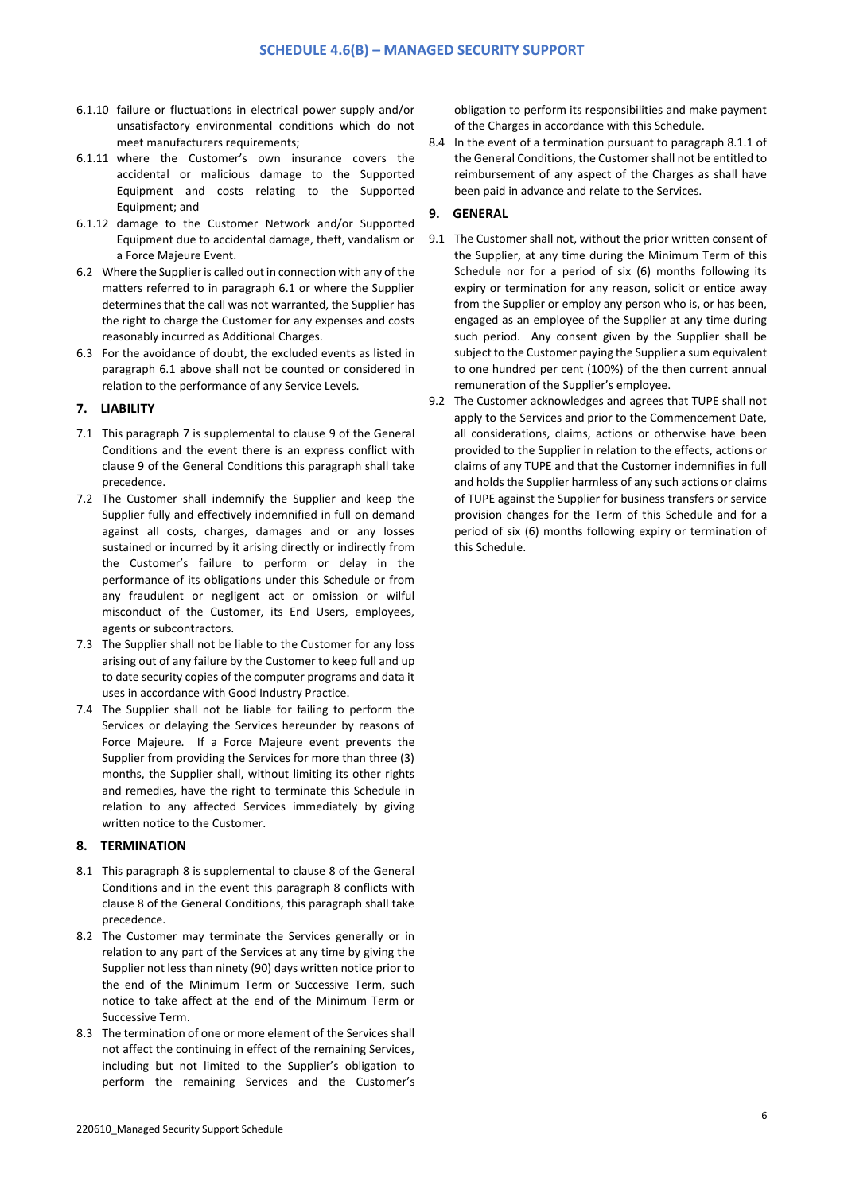- 6.1.10 failure or fluctuations in electrical power supply and/or unsatisfactory environmental conditions which do not meet manufacturers requirements;
- 6.1.11 where the Customer's own insurance covers the accidental or malicious damage to the Supported Equipment and costs relating to the Supported Equipment; and
- 6.1.12 damage to the Customer Network and/or Supported Equipment due to accidental damage, theft, vandalism or a Force Majeure Event.
- 6.2 Where the Supplier is called out in connection with any of the matters referred to in paragraph 6.1 or where the Supplier determines that the call was not warranted, the Supplier has the right to charge the Customer for any expenses and costs reasonably incurred as Additional Charges.
- 6.3 For the avoidance of doubt, the excluded events as listed in paragraph 6.1 above shall not be counted or considered in relation to the performance of any Service Levels.

#### **7. LIABILITY**

- 7.1 This paragraph 7 is supplemental to clause 9 of the General Conditions and the event there is an express conflict with clause 9 of the General Conditions this paragraph shall take precedence.
- 7.2 The Customer shall indemnify the Supplier and keep the Supplier fully and effectively indemnified in full on demand against all costs, charges, damages and or any losses sustained or incurred by it arising directly or indirectly from the Customer's failure to perform or delay in the performance of its obligations under this Schedule or from any fraudulent or negligent act or omission or wilful misconduct of the Customer, its End Users, employees, agents or subcontractors.
- 7.3 The Supplier shall not be liable to the Customer for any loss arising out of any failure by the Customer to keep full and up to date security copies of the computer programs and data it uses in accordance with Good Industry Practice.
- 7.4 The Supplier shall not be liable for failing to perform the Services or delaying the Services hereunder by reasons of Force Majeure. If a Force Majeure event prevents the Supplier from providing the Services for more than three (3) months, the Supplier shall, without limiting its other rights and remedies, have the right to terminate this Schedule in relation to any affected Services immediately by giving written notice to the Customer.

# **8. TERMINATION**

- 8.1 This paragraph 8 is supplemental to clause 8 of the General Conditions and in the event this paragraph 8 conflicts with clause 8 of the General Conditions, this paragraph shall take precedence.
- 8.2 The Customer may terminate the Services generally or in relation to any part of the Services at any time by giving the Supplier not less than ninety (90) days written notice prior to the end of the Minimum Term or Successive Term, such notice to take affect at the end of the Minimum Term or Successive Term.
- 8.3 The termination of one or more element of the Services shall not affect the continuing in effect of the remaining Services, including but not limited to the Supplier's obligation to perform the remaining Services and the Customer's

obligation to perform its responsibilities and make payment of the Charges in accordance with this Schedule.

8.4 In the event of a termination pursuant to paragraph 8.1.1 of the General Conditions, the Customer shall not be entitled to reimbursement of any aspect of the Charges as shall have been paid in advance and relate to the Services.

#### **9. GENERAL**

- 9.1 The Customer shall not, without the prior written consent of the Supplier, at any time during the Minimum Term of this Schedule nor for a period of six (6) months following its expiry or termination for any reason, solicit or entice away from the Supplier or employ any person who is, or has been, engaged as an employee of the Supplier at any time during such period. Any consent given by the Supplier shall be subject to the Customer paying the Supplier a sum equivalent to one hundred per cent (100%) of the then current annual remuneration of the Supplier's employee.
- 9.2 The Customer acknowledges and agrees that TUPE shall not apply to the Services and prior to the Commencement Date, all considerations, claims, actions or otherwise have been provided to the Supplier in relation to the effects, actions or claims of any TUPE and that the Customer indemnifies in full and holds the Supplier harmless of any such actions or claims of TUPE against the Supplier for business transfers or service provision changes for the Term of this Schedule and for a period of six (6) months following expiry or termination of this Schedule.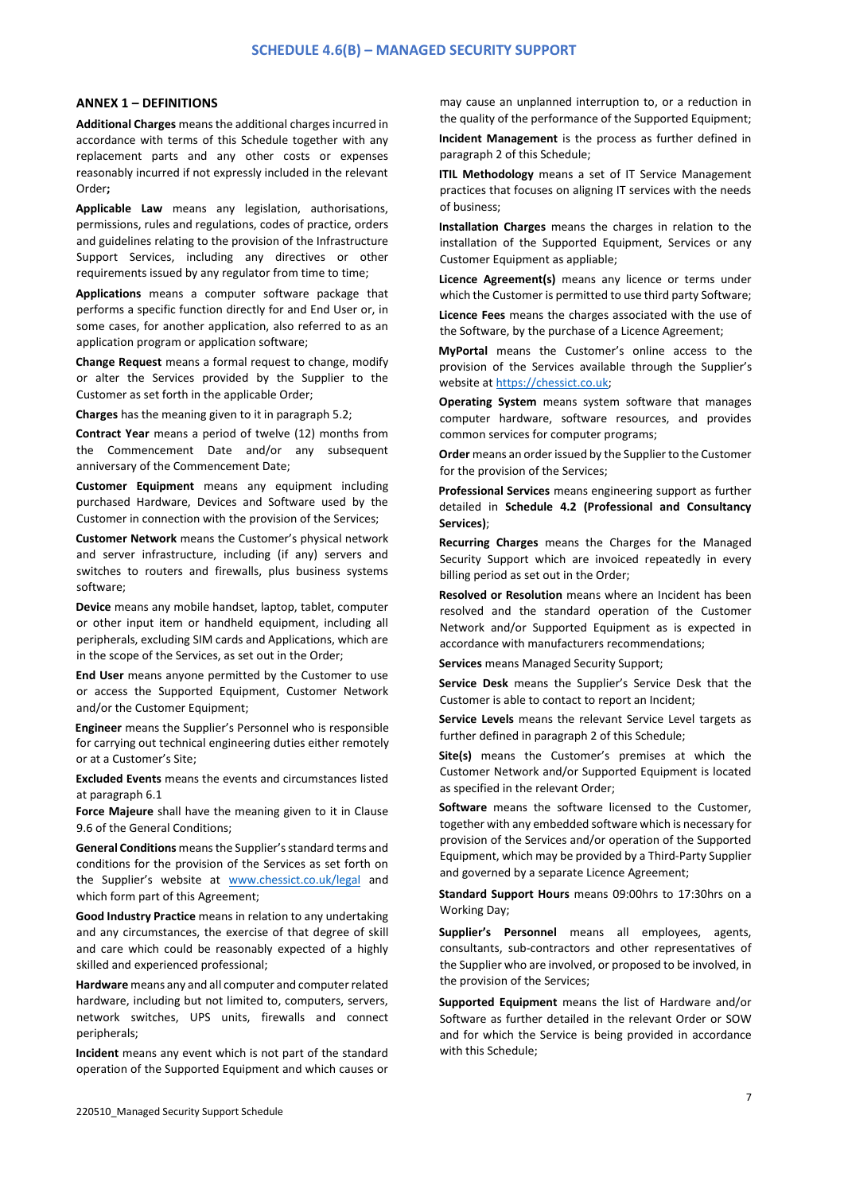#### **ANNEX 1 – DEFINITIONS**

**Additional Charges** means the additional charges incurred in accordance with terms of this Schedule together with any replacement parts and any other costs or expenses reasonably incurred if not expressly included in the relevant Order**;**

**Applicable Law** means any legislation, authorisations, permissions, rules and regulations, codes of practice, orders and guidelines relating to the provision of the Infrastructure Support Services, including any directives or other requirements issued by any regulator from time to time;

**Applications** means a computer software package that performs a specific function directly for and End User or, in some cases, for another application, also referred to as an application program or application software;

**Change Request** means a formal request to change, modify or alter the Services provided by the Supplier to the Customer as set forth in the applicable Order;

**Charges** has the meaning given to it in paragraph 5.2;

**Contract Year** means a period of twelve (12) months from the Commencement Date and/or any subsequent anniversary of the Commencement Date;

**Customer Equipment** means any equipment including purchased Hardware, Devices and Software used by the Customer in connection with the provision of the Services;

**Customer Network** means the Customer's physical network and server infrastructure, including (if any) servers and switches to routers and firewalls, plus business systems software;

**Device** means any mobile handset, laptop, tablet, computer or other input item or handheld equipment, including all peripherals, excluding SIM cards and Applications, which are in the scope of the Services, as set out in the Order;

**End User** means anyone permitted by the Customer to use or access the Supported Equipment, Customer Network and/or the Customer Equipment:

**Engineer** means the Supplier's Personnel who is responsible for carrying out technical engineering duties either remotely or at a Customer's Site;

**Excluded Events** means the events and circumstances listed at paragraph 6.1

**Force Majeure** shall have the meaning given to it in Clause 9.6 of the General Conditions;

**General Conditions** means the Supplier's standard terms and conditions for the provision of the Services as set forth on the Supplier's website at [www.chessict.co.uk/legal](http://www.chessict.co.uk/legal) [a](http://www.chessict.co.uk/legal)nd which form part of this Agreement;

**Good Industry Practice** means in relation to any undertaking and any circumstances, the exercise of that degree of skill and care which could be reasonably expected of a highly skilled and experienced professional;

**Hardware** means any and all computer and computer related hardware, including but not limited to, computers, servers, network switches, UPS units, firewalls and connect peripherals;

**Incident** means any event which is not part of the standard operation of the Supported Equipment and which causes or

may cause an unplanned interruption to, or a reduction in the quality of the performance of the Supported Equipment;

**Incident Management** is the process as further defined in paragraph 2 of this Schedule;

**ITIL Methodology** means a set of IT Service Management practices that focuses on aligning IT services with the needs of business;

**Installation Charges** means the charges in relation to the installation of the Supported Equipment, Services or any Customer Equipment as appliable;

**Licence Agreement(s)** means any licence or terms under which the Customer is permitted to use third party Software;

**Licence Fees** means the charges associated with the use of the Software, by the purchase of a Licence Agreement;

**MyPortal** means the Customer's online access to the provision of the Services available through the Supplier's website at [https://chessict.co.uk;](https://chessict.co.uk/) 

**Operating System** means system software that manages computer hardware, software resources, and provides common services for computer programs;

**Order** means an order issued by the Supplier to the Customer for the provision of the Services;

**Professional Services** means engineering support as further detailed in **Schedule 4.2 (Professional and Consultancy Services)**;

**Recurring Charges** means the Charges for the Managed Security Support which are invoiced repeatedly in every billing period as set out in the Order;

**Resolved or Resolution** means where an Incident has been resolved and the standard operation of the Customer Network and/or Supported Equipment as is expected in accordance with manufacturers recommendations;

**Services** means Managed Security Support;

**Service Desk** means the Supplier's Service Desk that the Customer is able to contact to report an Incident;

**Service Levels** means the relevant Service Level targets as further defined in paragraph 2 of this Schedule;

**Site(s)** means the Customer's premises at which the Customer Network and/or Supported Equipment is located as specified in the relevant Order;

**Software** means the software licensed to the Customer, together with any embedded software which is necessary for provision of the Services and/or operation of the Supported Equipment, which may be provided by a Third-Party Supplier and governed by a separate Licence Agreement;

**Standard Support Hours** means 09:00hrs to 17:30hrs on a Working Day;

**Supplier's Personnel** means all employees, agents, consultants, sub-contractors and other representatives of the Supplier who are involved, or proposed to be involved, in the provision of the Services;

**Supported Equipment** means the list of Hardware and/or Software as further detailed in the relevant Order or SOW and for which the Service is being provided in accordance with this Schedule;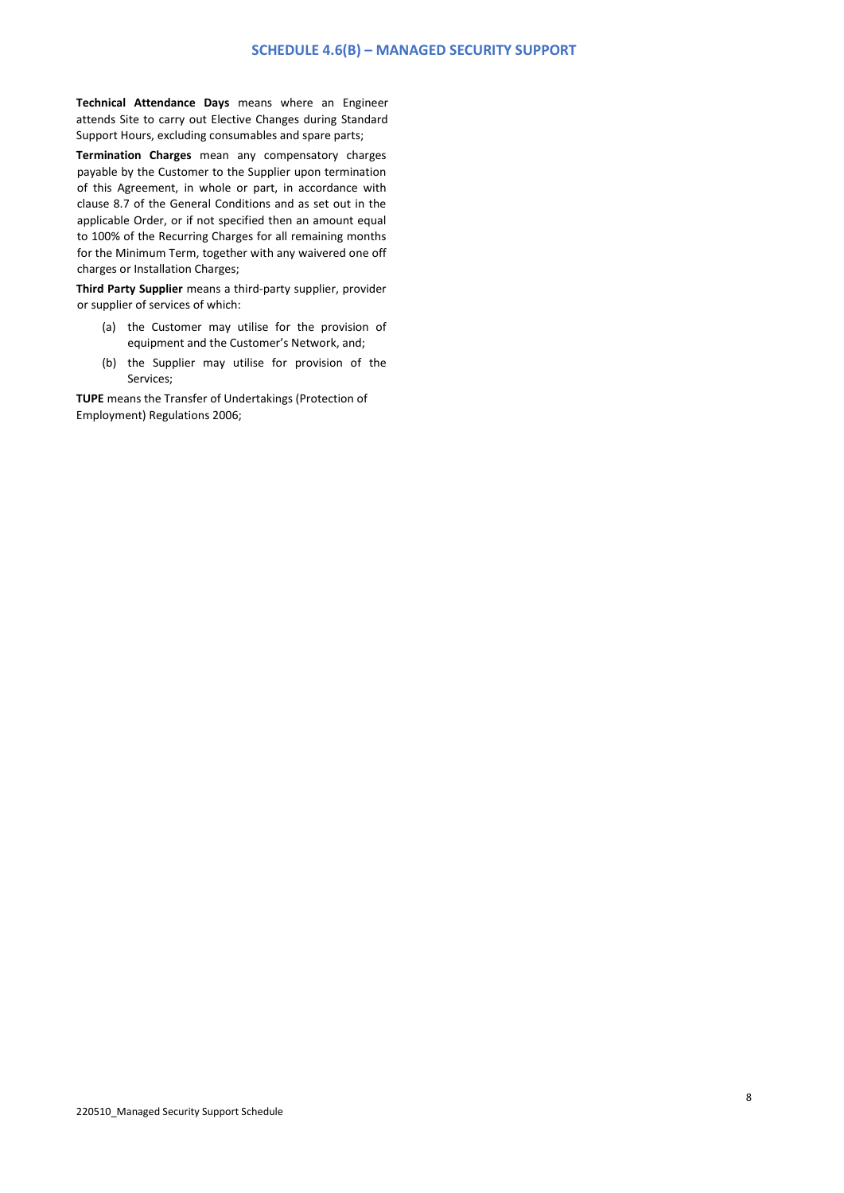**Technical Attendance Days** means where an Engineer attends Site to carry out Elective Changes during Standard Support Hours, excluding consumables and spare parts;

**Termination Charges** mean any compensatory charges payable by the Customer to the Supplier upon termination of this Agreement, in whole or part, in accordance with clause 8.7 of the General Conditions and as set out in the applicable Order, or if not specified then an amount equal to 100% of the Recurring Charges for all remaining months for the Minimum Term, together with any waivered one off charges or Installation Charges;

**Third Party Supplier** means a third-party supplier, provider or supplier of services of which:

- (a) the Customer may utilise for the provision of equipment and the Customer's Network, and;
- (b) the Supplier may utilise for provision of the Services;

**TUPE** means the Transfer of Undertakings (Protection of Employment) Regulations 2006;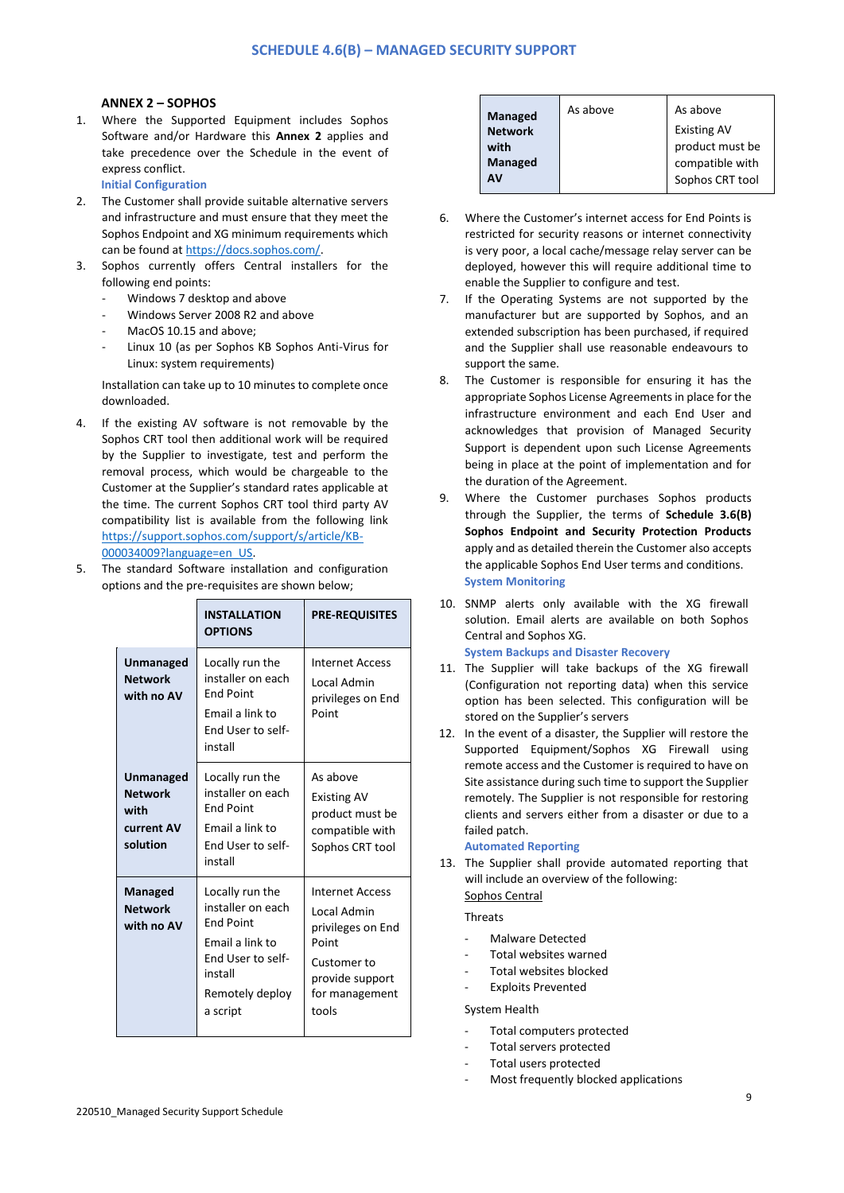# **ANNEX 2 – SOPHOS**

1. Where the Supported Equipment includes Sophos Software and/or Hardware this **Annex 2** applies and take precedence over the Schedule in the event of express conflict.

**Initial Configuration**

- 2. The Customer shall provide suitable alternative servers and infrastructure and must ensure that they meet the Sophos Endpoint and XG minimum requirements which can be found at [https://docs.sophos.com/.](https://docs.sophos.com/)
- 3. Sophos currently offers Central installers for the following end points:
	- Windows 7 desktop and above
	- Windows Server 2008 R2 and above
	- MacOS 10.15 and above:
	- Linux 10 (as per Sophos KB Sophos Anti-Virus for Linux: system requirements)

Installation can take up to 10 minutes to complete once downloaded.

- 4. If the existing AV software is not removable by the Sophos CRT tool then additional work will be required by the Supplier to investigate, test and perform the removal process, which would be chargeable to the Customer at the Supplier's standard rates applicable at the time. The current Sophos CRT tool third party AV compatibility list is available from the following link [https://support.sophos.com/support/s/article/KB-](https://support.sophos.com/support/s/article/KB-000034009?language=en_US)[000034009?language=en\\_US.](https://support.sophos.com/support/s/article/KB-000034009?language=en_US)
- 5. The standard Software installation and configuration options and the pre-requisites are shown below;

|                                                               | <b>INSTALLATION</b><br><b>OPTIONS</b>                                                                                                      | <b>PRE-REQUISITES</b>                                                                                                     |
|---------------------------------------------------------------|--------------------------------------------------------------------------------------------------------------------------------------------|---------------------------------------------------------------------------------------------------------------------------|
| Unmanaged<br><b>Network</b><br>with no AV                     | Locally run the<br>installer on each<br><b>End Point</b><br>Email a link to<br>End User to self-<br>install                                | Internet Access<br>Local Admin<br>privileges on End<br>Point                                                              |
| Unmanaged<br><b>Network</b><br>with<br>current AV<br>solution | Locally run the<br>installer on each<br><b>Fnd Point</b><br>Email a link to<br>End User to self-<br>install                                | As above<br><b>Existing AV</b><br>product must be<br>compatible with<br>Sophos CRT tool                                   |
| Managed<br><b>Network</b><br>with no AV                       | Locally run the<br>installer on each<br><b>End Point</b><br>Email a link to<br>End User to self-<br>install<br>Remotely deploy<br>a script | Internet Access<br>Local Admin<br>privileges on End<br>Point<br>Customer to<br>provide support<br>for management<br>tools |

| Managed<br><b>Network</b><br>with<br>Managed<br>AV | As above | As above<br><b>Existing AV</b><br>product must be<br>compatible with<br>Sophos CRT tool |
|----------------------------------------------------|----------|-----------------------------------------------------------------------------------------|
|----------------------------------------------------|----------|-----------------------------------------------------------------------------------------|

- 6. Where the Customer's internet access for End Points is restricted for security reasons or internet connectivity is very poor, a local cache/message relay server can be deployed, however this will require additional time to enable the Supplier to configure and test.
- 7. If the Operating Systems are not supported by the manufacturer but are supported by Sophos, and an extended subscription has been purchased, if required and the Supplier shall use reasonable endeavours to support the same.
- 8. The Customer is responsible for ensuring it has the appropriate Sophos License Agreements in place for the infrastructure environment and each End User and acknowledges that provision of Managed Security Support is dependent upon such License Agreements being in place at the point of implementation and for the duration of the Agreement.
- 9. Where the Customer purchases Sophos products through the Supplier, the terms of **Schedule 3.6(B) Sophos Endpoint and Security Protection Products** apply and as detailed therein the Customer also accepts the applicable Sophos End User terms and conditions. **System Monitoring**
- 10. SNMP alerts only available with the XG firewall solution. Email alerts are available on both Sophos Central and Sophos XG. **System Backups and Disaster Recovery**
- 11. The Supplier will take backups of the XG firewall (Configuration not reporting data) when this service option has been selected. This configuration will be stored on the Supplier's servers
- 12. In the event of a disaster, the Supplier will restore the Supported Equipment/Sophos XG Firewall using remote access and the Customer is required to have on Site assistance during such time to support the Supplier remotely. The Supplier is not responsible for restoring clients and servers either from a disaster or due to a failed patch.

#### **Automated Reporting**

13. The Supplier shall provide automated reporting that will include an overview of the following: Sophos Central

# **Throats**

- Malware Detected
- Total websites warned
- Total websites blocked
- Exploits Prevented

#### System Health

- Total computers protected
- Total servers protected
- Total users protected
- Most frequently blocked applications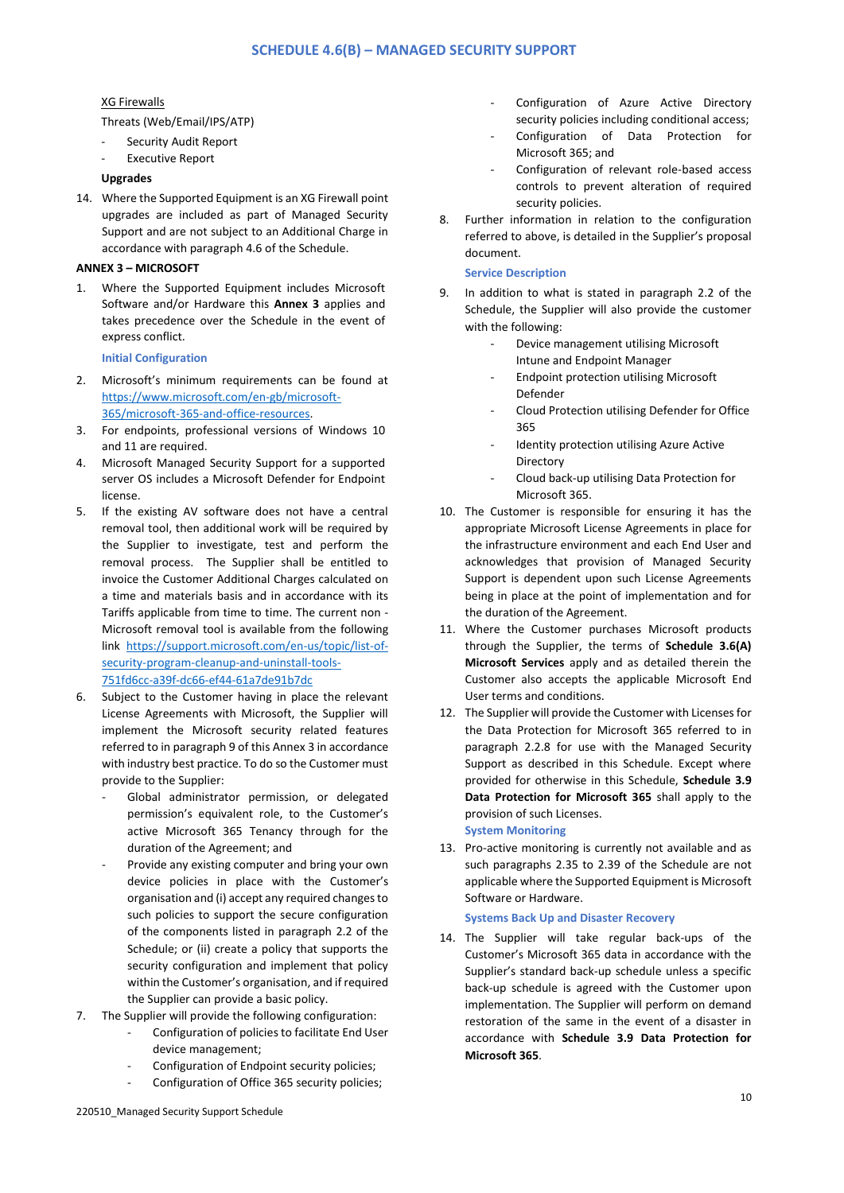# XG Firewalls

Threats (Web/Email/IPS/ATP)

- Security Audit Report
- **Executive Report**

# **Upgrades**

14. Where the Supported Equipment is an XG Firewall point upgrades are included as part of Managed Security Support and are not subject to an Additional Charge in accordance with paragraph 4.6 of the Schedule.

#### **ANNEX 3 – MICROSOFT**

1. Where the Supported Equipment includes Microsoft Software and/or Hardware this **Annex 3** applies and takes precedence over the Schedule in the event of express conflict.

**Initial Configuration**

- 2. Microsoft's minimum requirements can be found at [https://www.microsoft.com/en-gb/microsoft-](https://www.microsoft.com/en-gb/microsoft-365/microsoft-365-and-office-resources)[365/microsoft-365-and-office-resources.](https://www.microsoft.com/en-gb/microsoft-365/microsoft-365-and-office-resources)
- 3. For endpoints, professional versions of Windows 10 and 11 are required.
- 4. Microsoft Managed Security Support for a supported server OS includes a Microsoft Defender for Endpoint license.
- 5. If the existing AV software does not have a central removal tool, then additional work will be required by the Supplier to investigate, test and perform the removal process. The Supplier shall be entitled to invoice the Customer Additional Charges calculated on a time and materials basis and in accordance with its Tariffs applicable from time to time. The current non - Microsoft removal tool is available from the following link [https://support.microsoft.com/en-us/topic/list-of](https://support.microsoft.com/en-us/topic/list-of-security-program-cleanup-and-uninstall-tools-751fd6cc-a39f-dc66-ef44-61a7de91b7dc)[security-program-cleanup-and-uninstall-tools-](https://support.microsoft.com/en-us/topic/list-of-security-program-cleanup-and-uninstall-tools-751fd6cc-a39f-dc66-ef44-61a7de91b7dc)[751fd6cc-a39f-dc66-ef44-61a7de91b7dc](https://support.microsoft.com/en-us/topic/list-of-security-program-cleanup-and-uninstall-tools-751fd6cc-a39f-dc66-ef44-61a7de91b7dc)
- 6. Subject to the Customer having in place the relevant License Agreements with Microsoft, the Supplier will implement the Microsoft security related features referred to in paragraph 9 of this Annex 3 in accordance with industry best practice. To do so the Customer must provide to the Supplier:
	- Global administrator permission, or delegated permission's equivalent role, to the Customer's active Microsoft 365 Tenancy through for the duration of the Agreement; and
	- Provide any existing computer and bring your own device policies in place with the Customer's organisation and (i) accept any required changes to such policies to support the secure configuration of the components listed in paragraph 2.2 of the Schedule; or (ii) create a policy that supports the security configuration and implement that policy within the Customer's organisation, and if required the Supplier can provide a basic policy.
- 7. The Supplier will provide the following configuration:
	- Configuration of policies to facilitate End User device management;
	- Configuration of Endpoint security policies;
	- Configuration of Office 365 security policies;
- Configuration of Azure Active Directory security policies including conditional access;
- Configuration of Data Protection for Microsoft 365; and
- Configuration of relevant role-based access controls to prevent alteration of required security policies.
- 8. Further information in relation to the configuration referred to above, is detailed in the Supplier's proposal document.

## **Service Description**

- 9. In addition to what is stated in paragraph 2.2 of the Schedule, the Supplier will also provide the customer with the following:
	- Device management utilising Microsoft
	- Intune and Endpoint Manager
	- Endpoint protection utilising Microsoft Defender
	- Cloud Protection utilising Defender for Office 365
	- Identity protection utilising Azure Active **Directory**
	- Cloud back-up utilising Data Protection for Microsoft 365.
- 10. The Customer is responsible for ensuring it has the appropriate Microsoft License Agreements in place for the infrastructure environment and each End User and acknowledges that provision of Managed Security Support is dependent upon such License Agreements being in place at the point of implementation and for the duration of the Agreement.
- 11. Where the Customer purchases Microsoft products through the Supplier, the terms of **Schedule 3.6(A) Microsoft Services** apply and as detailed therein the Customer also accepts the applicable Microsoft End User terms and conditions.
- 12. The Supplier will provide the Customer with Licenses for the Data Protection for Microsoft 365 referred to in paragraph 2.2.8 for use with the Managed Security Support as described in this Schedule. Except where provided for otherwise in this Schedule, **Schedule 3.9 Data Protection for Microsoft 365** shall apply to the provision of such Licenses.

**System Monitoring**

13. Pro-active monitoring is currently not available and as such paragraphs 2.35 to 2.39 of the Schedule are not applicable where the Supported Equipment is Microsoft Software or Hardware.

# **Systems Back Up and Disaster Recovery**

14. The Supplier will take regular back-ups of the Customer's Microsoft 365 data in accordance with the Supplier's standard back-up schedule unless a specific back-up schedule is agreed with the Customer upon implementation. The Supplier will perform on demand restoration of the same in the event of a disaster in accordance with **Schedule 3.9 Data Protection for Microsoft 365**.